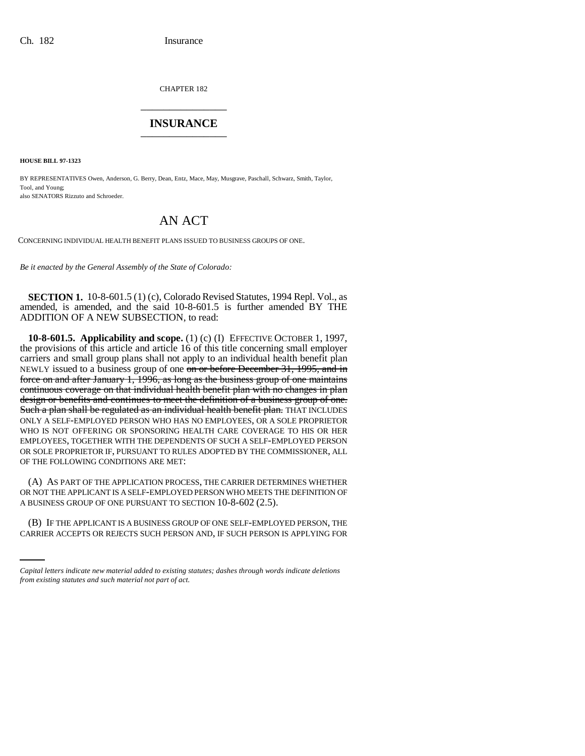CHAPTER 182 \_\_\_\_\_\_\_\_\_\_\_\_\_\_\_

## **INSURANCE** \_\_\_\_\_\_\_\_\_\_\_\_\_\_\_

**HOUSE BILL 97-1323**

BY REPRESENTATIVES Owen, Anderson, G. Berry, Dean, Entz, Mace, May, Musgrave, Paschall, Schwarz, Smith, Taylor, Tool, and Young; also SENATORS Rizzuto and Schroeder.

## AN ACT

CONCERNING INDIVIDUAL HEALTH BENEFIT PLANS ISSUED TO BUSINESS GROUPS OF ONE.

*Be it enacted by the General Assembly of the State of Colorado:*

**SECTION 1.** 10-8-601.5 (1) (c), Colorado Revised Statutes, 1994 Repl. Vol., as amended, is amended, and the said 10-8-601.5 is further amended BY THE ADDITION OF A NEW SUBSECTION, to read:

**10-8-601.5. Applicability and scope.** (1) (c) (I) EFFECTIVE OCTOBER 1, 1997, the provisions of this article and article 16 of this title concerning small employer carriers and small group plans shall not apply to an individual health benefit plan NEWLY issued to a business group of one on or before December 31, 1995, and in force on and after January  $1, 1996$ , as long as the business group of one maintains continuous coverage on that individual health benefit plan with no changes in plan design or benefits and continues to meet the definition of a business group of one. Such a plan shall be regulated as an individual health benefit plan. THAT INCLUDES ONLY A SELF-EMPLOYED PERSON WHO HAS NO EMPLOYEES, OR A SOLE PROPRIETOR WHO IS NOT OFFERING OR SPONSORING HEALTH CARE COVERAGE TO HIS OR HER EMPLOYEES, TOGETHER WITH THE DEPENDENTS OF SUCH A SELF-EMPLOYED PERSON OR SOLE PROPRIETOR IF, PURSUANT TO RULES ADOPTED BY THE COMMISSIONER, ALL OF THE FOLLOWING CONDITIONS ARE MET:

A BUSINESS GROUP OF ONE PURSUANT TO SECTION 10-8-602 (2.5). (A) AS PART OF THE APPLICATION PROCESS, THE CARRIER DETERMINES WHETHER OR NOT THE APPLICANT IS A SELF-EMPLOYED PERSON WHO MEETS THE DEFINITION OF

(B) IF THE APPLICANT IS A BUSINESS GROUP OF ONE SELF-EMPLOYED PERSON, THE CARRIER ACCEPTS OR REJECTS SUCH PERSON AND, IF SUCH PERSON IS APPLYING FOR

*Capital letters indicate new material added to existing statutes; dashes through words indicate deletions from existing statutes and such material not part of act.*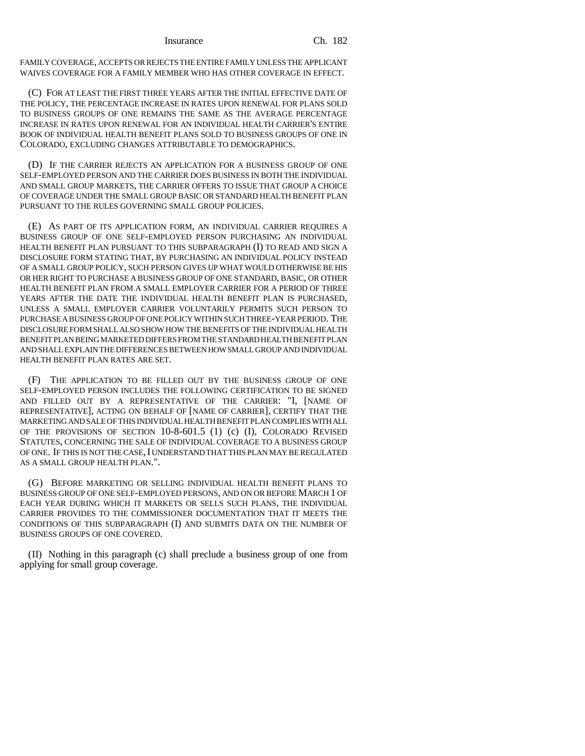Insurance Ch. 182

FAMILY COVERAGE, ACCEPTS OR REJECTS THE ENTIRE FAMILY UNLESS THE APPLICANT WAIVES COVERAGE FOR A FAMILY MEMBER WHO HAS OTHER COVERAGE IN EFFECT.

(C) FOR AT LEAST THE FIRST THREE YEARS AFTER THE INITIAL EFFECTIVE DATE OF THE POLICY, THE PERCENTAGE INCREASE IN RATES UPON RENEWAL FOR PLANS SOLD TO BUSINESS GROUPS OF ONE REMAINS THE SAME AS THE AVERAGE PERCENTAGE INCREASE IN RATES UPON RENEWAL FOR AN INDIVIDUAL HEALTH CARRIER'S ENTIRE BOOK OF INDIVIDUAL HEALTH BENEFIT PLANS SOLD TO BUSINESS GROUPS OF ONE IN COLORADO, EXCLUDING CHANGES ATTRIBUTABLE TO DEMOGRAPHICS.

(D) IF THE CARRIER REJECTS AN APPLICATION FOR A BUSINESS GROUP OF ONE SELF-EMPLOYED PERSON AND THE CARRIER DOES BUSINESS IN BOTH THE INDIVIDUAL AND SMALL GROUP MARKETS, THE CARRIER OFFERS TO ISSUE THAT GROUP A CHOICE OF COVERAGE UNDER THE SMALL GROUP BASIC OR STANDARD HEALTH BENEFIT PLAN PURSUANT TO THE RULES GOVERNING SMALL GROUP POLICIES.

(E) AS PART OF ITS APPLICATION FORM, AN INDIVIDUAL CARRIER REQUIRES A BUSINESS GROUP OF ONE SELF-EMPLOYED PERSON PURCHASING AN INDIVIDUAL HEALTH BENEFIT PLAN PURSUANT TO THIS SUBPARAGRAPH (I) TO READ AND SIGN A DISCLOSURE FORM STATING THAT, BY PURCHASING AN INDIVIDUAL POLICY INSTEAD OF A SMALL GROUP POLICY, SUCH PERSON GIVES UP WHAT WOULD OTHERWISE BE HIS OR HER RIGHT TO PURCHASE A BUSINESS GROUP OF ONE STANDARD, BASIC, OR OTHER HEALTH BENEFIT PLAN FROM A SMALL EMPLOYER CARRIER FOR A PERIOD OF THREE YEARS AFTER THE DATE THE INDIVIDUAL HEALTH BENEFIT PLAN IS PURCHASED, UNLESS A SMALL EMPLOYER CARRIER VOLUNTARILY PERMITS SUCH PERSON TO PURCHASE A BUSINESS GROUP OF ONE POLICY WITHIN SUCH THREE-YEAR PERIOD. THE DISCLOSURE FORM SHALL ALSO SHOW HOW THE BENEFITS OF THE INDIVIDUAL HEALTH BENEFIT PLAN BEING MARKETED DIFFERS FROM THE STANDARD HEALTH BENEFIT PLAN AND SHALL EXPLAIN THE DIFFERENCES BETWEEN HOW SMALL GROUP AND INDIVIDUAL HEALTH BENEFIT PLAN RATES ARE SET.

(F) THE APPLICATION TO BE FILLED OUT BY THE BUSINESS GROUP OF ONE SELF-EMPLOYED PERSON INCLUDES THE FOLLOWING CERTIFICATION TO BE SIGNED AND FILLED OUT BY A REPRESENTATIVE OF THE CARRIER: "I, [NAME OF REPRESENTATIVE], ACTING ON BEHALF OF [NAME OF CARRIER], CERTIFY THAT THE MARKETING AND SALE OF THIS INDIVIDUAL HEALTH BENEFIT PLAN COMPLIES WITH ALL OF THE PROVISIONS OF SECTION 10-8-601.5 (1) (c) (I), COLORADO REVISED STATUTES, CONCERNING THE SALE OF INDIVIDUAL COVERAGE TO A BUSINESS GROUP OF ONE. IF THIS IS NOT THE CASE, I UNDERSTAND THAT THIS PLAN MAY BE REGULATED AS A SMALL GROUP HEALTH PLAN.".

(G) BEFORE MARKETING OR SELLING INDIVIDUAL HEALTH BENEFIT PLANS TO BUSINESS GROUP OF ONE SELF-EMPLOYED PERSONS, AND ON OR BEFORE MARCH 1 OF EACH YEAR DURING WHICH IT MARKETS OR SELLS SUCH PLANS, THE INDIVIDUAL CARRIER PROVIDES TO THE COMMISSIONER DOCUMENTATION THAT IT MEETS THE CONDITIONS OF THIS SUBPARAGRAPH (I) AND SUBMITS DATA ON THE NUMBER OF BUSINESS GROUPS OF ONE COVERED.

(II) Nothing in this paragraph (c) shall preclude a business group of one from applying for small group coverage.